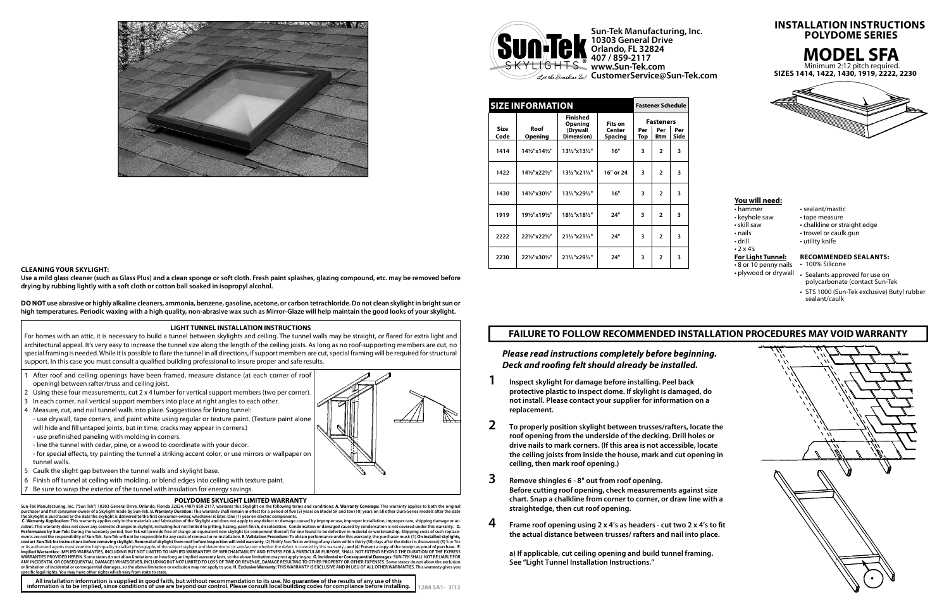| <b>SIZE INFORMATION</b><br><b>Fastener Schedule</b> |                                         |                                   |                          |                  |                          |             |
|-----------------------------------------------------|-----------------------------------------|-----------------------------------|--------------------------|------------------|--------------------------|-------------|
|                                                     |                                         | <b>Finished</b><br><b>Opening</b> | Fits on                  | <b>Fasteners</b> |                          |             |
| <b>Size</b><br>Code                                 | Roof<br><b>Opening</b>                  | (Drywall<br>Dimension)            | Center<br><b>Spacing</b> | Per<br>Top       | Per<br><b>Btm</b>        | Per<br>Side |
| 1414                                                | 141/2"x141/2"                           | 131/2"x131/2"                     | 16"                      | 3                | $\overline{2}$           | 3           |
| 1422                                                | 141/2"x221/2"                           | 131/2"x211/2"                     | 16" or 24                | 3                | $\overline{2}$           | 3           |
| 1430                                                | 141/2"x301/2"                           | 131/2"x291/2"                     | 16"                      | 3                | $\overline{2}$           | 3           |
| 1919                                                | 191/ <sub>2</sub> "x191/ <sub>2</sub> " | 181/2"x181/2"                     | 24"                      | 3                | $\overline{2}$           | 3           |
| 2222                                                | 221/2"x221/2"                           | 211/2"x211/2"                     | 24"                      | 3                | $\overline{\phantom{a}}$ | 3           |
| 2230                                                | 221/2"x301/2"                           | 211/2"x291/2"                     | 24"                      | 3                | $\overline{2}$           | 3           |

**1284 SA1- 3/12** All installation information is supplied in good faith, but without recommendation to its use. No guarantee of the results of any use of this<br>information is to be implied, since conditions of use are beyond our control. Pl

**SIZES 1414, 1422, 1430, 1919, 2222, 2230**









**Sun-Tek Manufacturing, Inc. 10303 General Drive Orlando, FL 32824 407 / 859-2117 www.Sun-Tek.com CustomerService@Sun-Tek.com**

## **INSTALLATION INSTRUCTIONS POLYDOME SERIES**

### **LIGHT TUNNEL INSTALLATION INSTRUCTIONS**

For homes with an attic, it is necessary to build a tunnel between skylights and ceiling. The tunnel walls may be straight, or flared for extra light and architectural appeal. It's very easy to increase the tunnel size along the length of the ceiling joists. As long as no roof-supporting members are cut, no special framing is needed. While it is possible to flare the tunnel in all directions, if support members are cut, special framing will be required for structural support. In this case you must consult a qualified building professional to insure proper and safe results.

- After roof and ceiling openings have been framed, measure distance (at each corner of roof opening) between rafter/truss and ceiling joist.
- 2 Using these four measurements, cut 2 x 4 lumber for vertical support members (two per corner).
- 3 In each corner, nail vertical support members into place at right angles to each other.
- 4 Measure, cut, and nail tunnel walls into place. Suggestions for lining tunnel:
- use drywall, tape corners, and paint white using regular or texture paint. (Texture paint alone will hide and fill untaped joints, but in time, cracks may appear in corners.)
- use prefinished paneling with molding in corners.
- line the tunnel with cedar, pine, or a wood to coordinate with your decor.
- for special effects, try painting the tunnel a striking accent color, or use mirrors or wallpaper on tunnel walls.
- 5 Caulk the slight gap between the tunnel walls and skylight base.
- 6 Finish off tunnel at ceiling with molding, or blend edges into ceiling with texture paint.

### Be sure to wrap the exterior of the tunnel with insulation for energy savings. **POLYDOME SKYLIGHT LIMITED WARRANTY**

Sun-Tek Manufacturing, Inc. ("Sun Tek") 10303 General Drive, Orlando, Florida 32824, (407) 859-2117, warrants this Skylight on the following terms and conditions: A. Warranty Coverage: This warranty applies to both the ori

C. Warranty Application: This warranty applies only to the materials and fabrication of the Skylight and does not apply to any defect or damage caused by improper use, it cident. This warranty does not cover any cosmetic changes in skylight, including but not limited to pitting, hazing, paint finish, discoloration. Condensation or damaged caused by condensation is not covered under this war contact Sun-Tek for instructions before removing skylight. Removal of skylight from roof before inspection will void warranty. (2) Notify Sun-Tek in writing of any claim within thirty (30) days after the defect is discover Implied Warranties: IMPLIED WARRANTIES, INCLUDING BUT NOT LIMITED TO IMPLIED WARRANTIES OF MERCHANTABILITY AND FITNESS FOR A PARTICULAR PURPOSE, SHALL NOT EXTEND BEYOND THE DURATION OF THE EXPRESS<br>WARRANTIES PROVIDED HEREI ANY INCIDENTAL OR CONSEQUENTIAL DAMAGES WHATSOEVER, INCLUDING BUT NOT LIMITED TO LOSS OF TIME OR REVENUE, DAMAGE RESULTING TO OTHER PROPERTY OR OTHER EXPENSES. Some states do not allow the exclusion or illow the exclusion

- 8 or 10 penny nails
- plywood or drywall
- hammer sealant/mastic
	-
	- chalkline or straight edge
- nails trowel or caulk gun
- drill utility knife

*Please read instructions completely before beginning.*  **Deck and roofing felt should already be installed.** 

# **You will need:**

- 
- keyhole saw tape measure<br>• skill saw chalkline or str
- 
- 
- 
- $\cdot$  2 x 4's

# **For Light Tunnel:**

### **RECOMMENDED SEALANTS:**

- 100% Silicone
- Sealants approved for use on polycarbonate (contact Sun-Tek
- STS 1000 (Sun-Tek exclusive) Butyl rubber sealant/caulk

- **1 Inspect skylight for damage before installing. Peel back protective plastic to inspect dome. If skylight is damaged, do not install. Please contact your supplier for information on a replacement.**
- **2 To properly position skylight between trusses/rafters, locate the roof opening from the underside of the decking. Drill holes or drive nails to mark corners. (If this area is not accessible, locate the ceiling joists from inside the house, mark and cut opening in ceiling, then mark roof opening.)**
- **3 Remove shingles 6 8" out from roof opening. Before cutting roof opening, check measurements against size chart. Snap a chalkline from corner to corner, or draw line with a straightedge, then cut roof opening.**
- **4 Frame roof opening using 2 x 4's as headers cut two 2 x 4's to fit the actual distance between trusses/ rafters and nail into place.**

 **a) If applicable, cut ceiling opening and build tunnel framing. See "Light Tunnel Installation Instructions."**



### **CLEANING YOUR SKYLIGHT:**

**Use a mild glass cleaner (such as Glass Plus) and a clean sponge or soft cloth. Fresh paint splashes, glazing compound, etc. may be removed before drying by rubbing lightly with a soft cloth or cotton ball soaked in isopropyl alcohol.**

**DO NOT use abrasive or highly alkaline cleaners, ammonia, benzene, gasoline, acetone, or carbon tetrachloride. Do not clean skylight in bright sun or high temperatures. Periodic waxing with a high quality, non-abrasive wax such as Mirror-Glaze will help maintain the good looks of your skylight.**